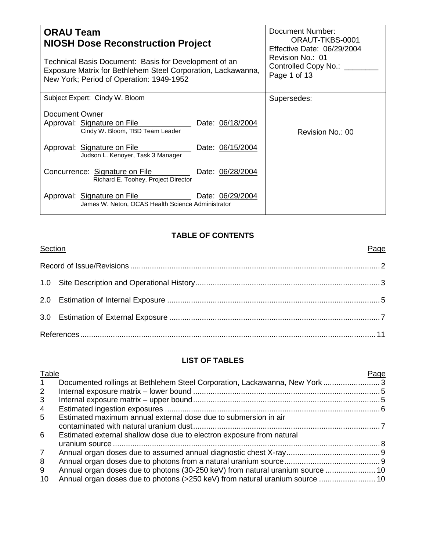| <b>ORAU Team</b><br><b>NIOSH Dose Reconstruction Project</b><br>Technical Basis Document: Basis for Development of an<br>Exposure Matrix for Bethlehem Steel Corporation, Lackawanna,<br>New York; Period of Operation: 1949-1952 | Document Number:<br>ORAUT-TKBS-0001<br>Effective Date: 06/29/2004<br>Revision No.: 01<br>Controlled Copy No.: ___<br>Page 1 of 13 |
|-----------------------------------------------------------------------------------------------------------------------------------------------------------------------------------------------------------------------------------|-----------------------------------------------------------------------------------------------------------------------------------|
| Subject Expert: Cindy W. Bloom                                                                                                                                                                                                    | Supersedes:                                                                                                                       |
| Document Owner<br>Approval: Signature on File<br>Date: 06/18/2004<br>Cindy W. Bloom, TBD Team Leader                                                                                                                              | Revision No.: 00                                                                                                                  |
| Approval: Signature on File<br>Date: 06/15/2004<br>Judson L. Kenoyer, Task 3 Manager                                                                                                                                              |                                                                                                                                   |
| Concurrence: Signature on File<br>Date: 06/28/2004<br>Richard E. Toohey, Project Director                                                                                                                                         |                                                                                                                                   |
| Date: 06/29/2004<br>Approval: Signature on File<br>James W. Neton, OCAS Health Science Administrator                                                                                                                              |                                                                                                                                   |

## **TABLE OF CONTENTS**

| Section | Page |
|---------|------|
|         |      |
|         |      |
|         |      |
|         |      |
|         |      |

## **LIST OF TABLES**

| Table        |                                                                                | Page |
|--------------|--------------------------------------------------------------------------------|------|
| $\mathbf{1}$ | Documented rollings at Bethlehem Steel Corporation, Lackawanna, New York  3    |      |
| 2            |                                                                                |      |
| 3            |                                                                                |      |
| 4            |                                                                                |      |
| 5            | Estimated maximum annual external dose due to submersion in air                |      |
|              |                                                                                |      |
| 6            | Estimated external shallow dose due to electron exposure from natural          |      |
|              |                                                                                |      |
| $7^{\circ}$  |                                                                                |      |
| 8            |                                                                                |      |
| 9            | Annual organ doses due to photons (30-250 keV) from natural uranium source  10 |      |
| 10           | Annual organ doses due to photons (>250 keV) from natural uranium source  10   |      |
|              |                                                                                |      |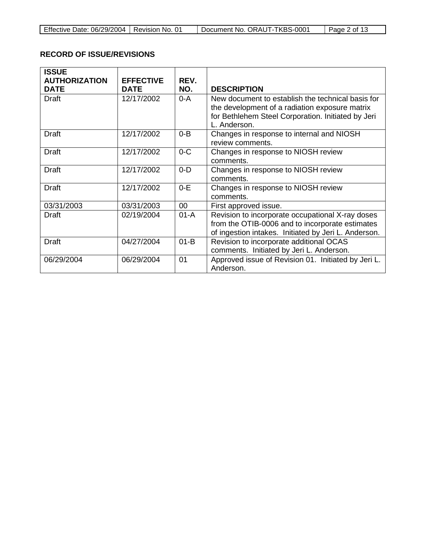| Effective Date: 06/29/2004 | Revision No. 01 | Document No. ORAUT-TKBS-0001 | 1′ a 2 of<br>Page $\geq$ |
|----------------------------|-----------------|------------------------------|--------------------------|

### **RECORD OF ISSUE/REVISIONS**

| <b>ISSUE</b>                        |                                 |             |                                                                                                                                                                           |
|-------------------------------------|---------------------------------|-------------|---------------------------------------------------------------------------------------------------------------------------------------------------------------------------|
| <b>AUTHORIZATION</b><br><b>DATE</b> | <b>EFFECTIVE</b><br><b>DATE</b> | REV.<br>NO. | <b>DESCRIPTION</b>                                                                                                                                                        |
| <b>Draft</b>                        | 12/17/2002                      | $0 - A$     | New document to establish the technical basis for<br>the development of a radiation exposure matrix<br>for Bethlehem Steel Corporation. Initiated by Jeri<br>L. Anderson. |
| Draft                               | 12/17/2002                      | $0 - B$     | Changes in response to internal and NIOSH<br>review comments.                                                                                                             |
| <b>Draft</b>                        | 12/17/2002                      | $0-C$       | Changes in response to NIOSH review<br>comments.                                                                                                                          |
| <b>Draft</b>                        | 12/17/2002                      | $0 - D$     | Changes in response to NIOSH review<br>comments.                                                                                                                          |
| <b>Draft</b>                        | 12/17/2002                      | $0-E$       | Changes in response to NIOSH review<br>comments.                                                                                                                          |
| 03/31/2003                          | 03/31/2003                      | 00          | First approved issue.                                                                                                                                                     |
| Draft                               | 02/19/2004                      | $01-A$      | Revision to incorporate occupational X-ray doses<br>from the OTIB-0006 and to incorporate estimates<br>of ingestion intakes. Initiated by Jeri L. Anderson.               |
| <b>Draft</b>                        | 04/27/2004                      | $01-B$      | Revision to incorporate additional OCAS<br>comments. Initiated by Jeri L. Anderson.                                                                                       |
| 06/29/2004                          | 06/29/2004                      | 01          | Approved issue of Revision 01. Initiated by Jeri L.<br>Anderson.                                                                                                          |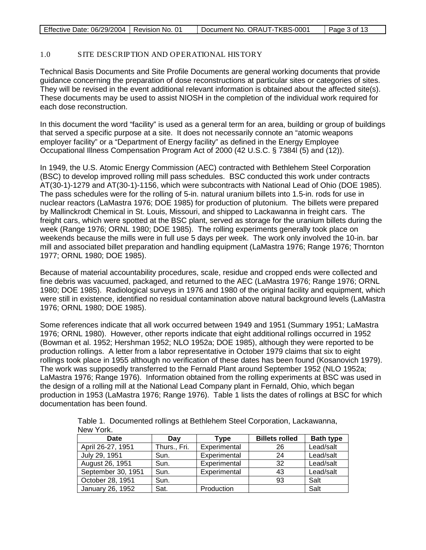| Effective Date: 06/29/2004   Revision No. 01 |  | Document No. ORAUT-TKBS-0001 | Page 3 of 13 |
|----------------------------------------------|--|------------------------------|--------------|
|----------------------------------------------|--|------------------------------|--------------|

### 1.0 SITE DESCRIPTION AND OPERATIONAL HISTORY

Technical Basis Documents and Site Profile Documents are general working documents that provide guidance concerning the preparation of dose reconstructions at particular sites or categories of sites. They will be revised in the event additional relevant information is obtained about the affected site(s). These documents may be used to assist NIOSH in the completion of the individual work required for each dose reconstruction.

In this document the word "facility" is used as a general term for an area, building or group of buildings that served a specific purpose at a site. It does not necessarily connote an "atomic weapons employer facility" or a "Department of Energy facility" as defined in the Energy Employee Occupational Illness Compensation Program Act of 2000 (42 U.S.C. § 7384l (5) and (12)).

In 1949, the U.S. Atomic Energy Commission (AEC) contracted with Bethlehem Steel Corporation (BSC) to develop improved rolling mill pass schedules. BSC conducted this work under contracts AT(30-1)-1279 and AT(30-1)-1156, which were subcontracts with National Lead of Ohio (DOE 1985). The pass schedules were for the rolling of 5-in. natural uranium billets into 1.5-in. rods for use in nuclear reactors (LaMastra 1976; DOE 1985) for production of plutonium. The billets were prepared by Mallinckrodt Chemical in St. Louis, Missouri, and shipped to Lackawanna in freight cars. The freight cars, which were spotted at the BSC plant, served as storage for the uranium billets during the week (Range 1976; ORNL 1980; DOE 1985). The rolling experiments generally took place on weekends because the mills were in full use 5 days per week. The work only involved the 10-in. bar mill and associated billet preparation and handling equipment (LaMastra 1976; Range 1976; Thornton 1977; ORNL 1980; DOE 1985).

Because of material accountability procedures, scale, residue and cropped ends were collected and fine debris was vacuumed, packaged, and returned to the AEC (LaMastra 1976; Range 1976; ORNL 1980; DOE 1985). Radiological surveys in 1976 and 1980 of the original facility and equipment, which were still in existence, identified no residual contamination above natural background levels (LaMastra 1976; ORNL 1980; DOE 1985).

Some references indicate that all work occurred between 1949 and 1951 (Summary 1951; LaMastra 1976; ORNL 1980). However, other reports indicate that eight additional rollings occurred in 1952 (Bowman et al. 1952; Hershman 1952; NLO 1952a; DOE 1985), although they were reported to be production rollings. A letter from a labor representative in October 1979 claims that six to eight rollings took place in 1955 although no verification of these dates has been found (Kosanovich 1979). The work was supposedly transferred to the Fernald Plant around September 1952 (NLO 1952a; LaMastra 1976; Range 1976). Information obtained from the rolling experiments at BSC was used in the design of a rolling mill at the National Lead Company plant in Fernald, Ohio, which began production in 1953 (LaMastra 1976; Range 1976). Table 1 lists the dates of rollings at BSC for which documentation has been found.

> Table 1. Documented rollings at Bethlehem Steel Corporation, Lackawanna, New York.

| Date               | Dav          | Tvpe         | <b>Billets rolled</b> | <b>Bath type</b> |
|--------------------|--------------|--------------|-----------------------|------------------|
| April 26-27, 1951  | Thurs., Fri. | Experimental | 26                    | Lead/salt        |
| July 29, 1951      | Sun.         | Experimental | 24                    | Lead/salt        |
| August 26, 1951    | Sun.         | Experimental | 32                    | Lead/salt        |
| September 30, 1951 | Sun.         | Experimental | 43                    | Lead/salt        |
| October 28, 1951   | Sun.         |              | 93                    | Salt             |
| January 26, 1952   | Sat.         | Production   |                       | Salt             |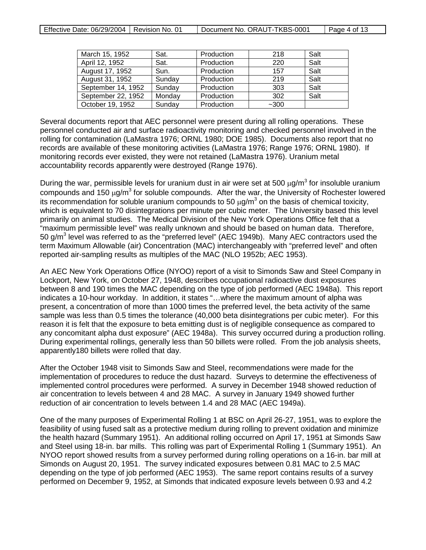| March 15, 1952     | Sat.   | Production | 218    | Salt |
|--------------------|--------|------------|--------|------|
| April 12, 1952     | Sat.   | Production | 220    | Salt |
| August 17, 1952    | Sun.   | Production | 157    | Salt |
| August 31, 1952    | Sunday | Production | 219    | Salt |
| September 14, 1952 | Sunday | Production | 303    | Salt |
| September 22, 1952 | Monday | Production | 302    | Salt |
| October 19, 1952   | Sunday | Production | $-300$ |      |

Several documents report that AEC personnel were present during all rolling operations. These personnel conducted air and surface radioactivity monitoring and checked personnel involved in the rolling for contamination (LaMastra 1976; ORNL 1980; DOE 1985). Documents also report that no records are available of these monitoring activities (LaMastra 1976; Range 1976; ORNL 1980). If monitoring records ever existed, they were not retained (LaMastra 1976). Uranium metal accountability records apparently were destroyed (Range 1976).

During the war, permissible levels for uranium dust in air were set at 500  $\mu$ g/m<sup>3</sup> for insoluble uranium compounds and 150  $\mu q/m^3$  for soluble compounds. After the war, the University of Rochester lowered its recommendation for soluble uranium compounds to 50  $\mu q/m^3$  on the basis of chemical toxicity, which is equivalent to 70 disintegrations per minute per cubic meter. The University based this level primarily on animal studies. The Medical Division of the New York Operations Office felt that a "maximum permissible level" was really unknown and should be based on human data. Therefore, 50 g/ $m<sup>3</sup>$  level was referred to as the "preferred level" (AEC 1949b). Many AEC contractors used the term Maximum Allowable (air) Concentration (MAC) interchangeably with "preferred level" and often reported air-sampling results as multiples of the MAC (NLO 1952b; AEC 1953).

An AEC New York Operations Office (NYOO) report of a visit to Simonds Saw and Steel Company in Lockport, New York, on October 27, 1948, describes occupational radioactive dust exposures between 8 and 190 times the MAC depending on the type of job performed (AEC 1948a). This report indicates a 10-hour workday. In addition, it states "…where the maximum amount of alpha was present, a concentration of more than 1000 times the preferred level, the beta activity of the same sample was less than 0.5 times the tolerance (40,000 beta disintegrations per cubic meter). For this reason it is felt that the exposure to beta emitting dust is of negligible consequence as compared to any concomitant alpha dust exposure" (AEC 1948a). This survey occurred during a production rolling. During experimental rollings, generally less than 50 billets were rolled. From the job analysis sheets, apparently180 billets were rolled that day.

After the October 1948 visit to Simonds Saw and Steel, recommendations were made for the implementation of procedures to reduce the dust hazard. Surveys to determine the effectiveness of implemented control procedures were performed. A survey in December 1948 showed reduction of air concentration to levels between 4 and 28 MAC. A survey in January 1949 showed further reduction of air concentration to levels between 1.4 and 28 MAC (AEC 1949a).

One of the many purposes of Experimental Rolling 1 at BSC on April 26-27, 1951, was to explore the feasibility of using fused salt as a protective medium during rolling to prevent oxidation and minimize the health hazard (Summary 1951). An additional rolling occurred on April 17, 1951 at Simonds Saw and Steel using 18-in. bar mills. This rolling was part of Experimental Rolling 1 (Summary 1951). An NYOO report showed results from a survey performed during rolling operations on a 16-in. bar mill at Simonds on August 20, 1951. The survey indicated exposures between 0.81 MAC to 2.5 MAC depending on the type of job performed (AEC 1953). The same report contains results of a survey performed on December 9, 1952, at Simonds that indicated exposure levels between 0.93 and 4.2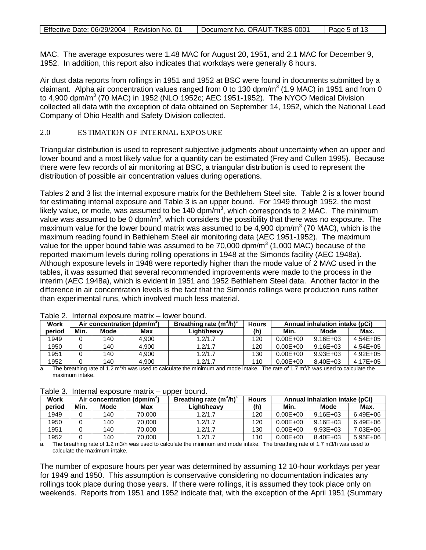| Effective Date: 06/29/2004   Revision No. 01<br>Document No. ORAUT-TKBS-0001<br>Page 5 of 13 |
|----------------------------------------------------------------------------------------------|
|----------------------------------------------------------------------------------------------|

MAC. The average exposures were 1.48 MAC for August 20, 1951, and 2.1 MAC for December 9, 1952. In addition, this report also indicates that workdays were generally 8 hours.

Air dust data reports from rollings in 1951 and 1952 at BSC were found in documents submitted by a claimant. Alpha air concentration values ranged from 0 to 130 dpm/ $m^3$  (1.9 MAC) in 1951 and from 0 to 4,900 dpm/m<sup>3</sup> (70 MAC) in 1952 (NLO 1952c; AEC 1951-1952). The NYOO Medical Division collected all data with the exception of data obtained on September 14, 1952, which the National Lead Company of Ohio Health and Safety Division collected.

### 2.0 ESTIMATION OF INTERNAL EXPOSURE

Triangular distribution is used to represent subjective judgments about uncertainty when an upper and lower bound and a most likely value for a quantity can be estimated (Frey and Cullen 1995). Because there were few records of air monitoring at BSC, a triangular distribution is used to represent the distribution of possible air concentration values during operations.

Tables 2 and 3 list the internal exposure matrix for the Bethlehem Steel site. Table 2 is a lower bound for estimating internal exposure and Table 3 is an upper bound. For 1949 through 1952, the most likely value, or mode, was assumed to be 140 dpm/m<sup>3</sup>, which corresponds to 2 MAC. The minimum value was assumed to be 0 dpm/m<sup>3</sup>, which considers the possibility that there was no exposure. The maximum value for the lower bound matrix was assumed to be 4,900 dpm/ $m<sup>3</sup>$  (70 MAC), which is the maximum reading found in Bethlehem Steel air monitoring data (AEC 1951-1952). The maximum value for the upper bound table was assumed to be  $70,000$  dpm/m<sup>3</sup> (1,000 MAC) because of the reported maximum levels during rolling operations in 1948 at the Simonds facility (AEC 1948a). Although exposure levels in 1948 were reportedly higher than the mode value of 2 MAC used in the tables, it was assumed that several recommended improvements were made to the process in the interim (AEC 1948a), which is evident in 1951 and 1952 Bethlehem Steel data. Another factor in the difference in air concentration levels is the fact that the Simonds rollings were production runs rather than experimental runs, which involved much less material.

| <b>Work</b> |      |      | Air concentration (dpm/m <sup>3</sup> ) | Breathing rate $(m^3/h)^a$ | <b>Hours</b> | Annual inhalation intake (pCi) |              |              |
|-------------|------|------|-----------------------------------------|----------------------------|--------------|--------------------------------|--------------|--------------|
| period      | Min. | Mode | Max                                     | Light/heavy                | (h)          | Min.                           | Mode         | Max.         |
| 1949        |      | 140  | 4.900                                   | 1.2/1.7                    | 120          | $0.00E + 00$                   | $9.16E + 03$ | $4.54E + 05$ |
| 1950        |      | 140  | 4.900                                   | 1.2/1.7                    | 120          | $0.00E + 00$                   | $9.16E + 03$ | $4.54E + 05$ |
| 1951        |      | 140  | 4.900                                   | 1.2/1.7                    | 130          | $0.00E + 00$                   | $9.93E + 03$ | $4.92E + 05$ |
| 1952        |      | 140  | 4.900                                   | 1.2/1.7                    | 110          | $0.00E + 00$                   | 8.40E+03     | 4.17E+05     |

#### Table 2. Internal exposure matrix – lower bound.

a. The breathing rate of 1.2 m<sup>3</sup>/h was used to calculate the minimum and mode intake. The rate of 1.7 m<sup>3</sup>/h was used to calculate the maximum intake.

| Work   |      |      | Air concentration (dpm/m <sup>3</sup> ) | Breathing rate $(m^3/h)^a$ | <b>Hours</b> | Annual inhalation intake (pCi) |              |              |
|--------|------|------|-----------------------------------------|----------------------------|--------------|--------------------------------|--------------|--------------|
| period | Min. | Mode | Max                                     | Light/heavy                | (h`          | Min.                           | Mode         | Max.         |
| 1949   |      | 140  | 70.000                                  | 1.2/1.7                    | 120          | $0.00E + 00$                   | $9.16E + 03$ | $6.49E + 06$ |
| 1950   |      | 140  | 70.000                                  | 1.2/1.7                    | 120          | $0.00E + 00$                   | $9.16E + 03$ | 6.49E+06     |
| 1951   |      | 140  | 70.000                                  | 1.2/1.7                    | 130          | $0.00E + 00$                   | $9.93E + 03$ | 7.03E+06     |
| 1952   |      | 140  | 70.000                                  | 1.2/1.7                    | 110          | $0.00E + 00$                   | 8.40E+03     | $5.95E + 06$ |

#### Table 3. Internal exposure matrix – upper bound.

a. The breathing rate of 1.2 m3/h was used to calculate the minimum and mode intake. The breathing rate of 1.7 m3/h was used to calculate the maximum intake.

The number of exposure hours per year was determined by assuming 12 10-hour workdays per year for 1949 and 1950. This assumption is conservative considering no documentation indicates any rollings took place during those years. If there were rollings, it is assumed they took place only on weekends. Reports from 1951 and 1952 indicate that, with the exception of the April 1951 (Summary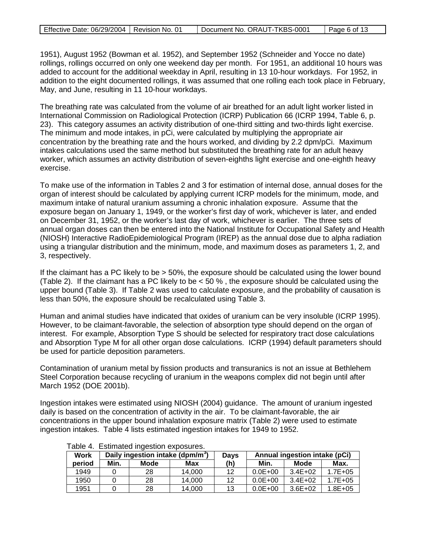| Effective Date: 06/29/2004   Revision No. 01<br>Document No. ORAUT-TKBS-0001 | Page 6 of 13 |
|------------------------------------------------------------------------------|--------------|
|------------------------------------------------------------------------------|--------------|

1951), August 1952 (Bowman et al. 1952), and September 1952 (Schneider and Yocce no date) rollings, rollings occurred on only one weekend day per month. For 1951, an additional 10 hours was added to account for the additional weekday in April, resulting in 13 10-hour workdays. For 1952, in addition to the eight documented rollings, it was assumed that one rolling each took place in February, May, and June, resulting in 11 10-hour workdays.

The breathing rate was calculated from the volume of air breathed for an adult light worker listed in International Commission on Radiological Protection (ICRP) Publication 66 (ICRP 1994, Table 6, p. 23). This category assumes an activity distribution of one-third sitting and two-thirds light exercise. The minimum and mode intakes, in pCi, were calculated by multiplying the appropriate air concentration by the breathing rate and the hours worked, and dividing by 2.2 dpm/pCi. Maximum intakes calculations used the same method but substituted the breathing rate for an adult heavy worker, which assumes an activity distribution of seven-eighths light exercise and one-eighth heavy exercise.

To make use of the information in Tables 2 and 3 for estimation of internal dose, annual doses for the organ of interest should be calculated by applying current ICRP models for the minimum, mode, and maximum intake of natural uranium assuming a chronic inhalation exposure. Assume that the exposure began on January 1, 1949, or the worker's first day of work, whichever is later, and ended on December 31, 1952, or the worker's last day of work, whichever is earlier. The three sets of annual organ doses can then be entered into the National Institute for Occupational Safety and Health (NIOSH) Interactive RadioEpidemiological Program (IREP) as the annual dose due to alpha radiation using a triangular distribution and the minimum, mode, and maximum doses as parameters 1, 2, and 3, respectively.

If the claimant has a PC likely to be > 50%, the exposure should be calculated using the lower bound (Table 2). If the claimant has a PC likely to be < 50 % , the exposure should be calculated using the upper bound (Table 3). If Table 2 was used to calculate exposure, and the probability of causation is less than 50%, the exposure should be recalculated using Table 3.

Human and animal studies have indicated that oxides of uranium can be very insoluble (ICRP 1995). However, to be claimant-favorable, the selection of absorption type should depend on the organ of interest. For example, Absorption Type S should be selected for respiratory tract dose calculations and Absorption Type M for all other organ dose calculations. ICRP (1994) default parameters should be used for particle deposition parameters.

Contamination of uranium metal by fission products and transuranics is not an issue at Bethlehem Steel Corporation because recycling of uranium in the weapons complex did not begin until after March 1952 (DOE 2001b).

Ingestion intakes were estimated using NIOSH (2004) guidance. The amount of uranium ingested daily is based on the concentration of activity in the air. To be claimant-favorable, the air concentrations in the upper bound inhalation exposure matrix (Table 2) were used to estimate ingestion intakes. Table 4 lists estimated ingestion intakes for 1949 to 1952.

|             | Table +. Estimated ingestion exposares. |                                              |        |             |             |             |                               |  |  |  |  |  |  |
|-------------|-----------------------------------------|----------------------------------------------|--------|-------------|-------------|-------------|-------------------------------|--|--|--|--|--|--|
| <b>Work</b> |                                         | Daily ingestion intake (dpm/m <sup>3</sup> ) |        | <b>Days</b> |             |             | Annual ingestion intake (pCi) |  |  |  |  |  |  |
| period      | Min.<br>Mode<br>Max                     |                                              | (h)    | Min.        | Mode        | Max.        |                               |  |  |  |  |  |  |
| 1949        |                                         | 28                                           | 14.000 | 12          | $0.0E + 00$ | $3.4E + 02$ | $1.7E + 0.5$                  |  |  |  |  |  |  |
| 1950        |                                         | 28                                           | 14.000 | 12          | $0.0E + 00$ | $3.4E + 02$ | $1.7E + 0.5$                  |  |  |  |  |  |  |
| 1951        |                                         | 28                                           | 14.000 | 13          | $0.0E + 00$ | $3.6E + 02$ | $1.8E + 0.5$                  |  |  |  |  |  |  |

#### Table 4. Estimated ingestion exposures.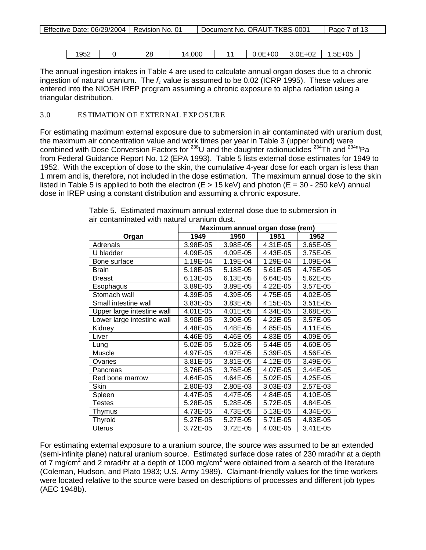| 1952 | つら<br>--<br>__ | 14,000 | 0.0E<br>-00 | 3.0E·<br>$+02$ | 05<br>-<br>…5E+⊑ |
|------|----------------|--------|-------------|----------------|------------------|

The annual ingestion intakes in Table 4 are used to calculate annual organ doses due to a chronic ingestion of natural uranium. The  $f_1$  value is assumed to be 0.02 (ICRP 1995). These values are entered into the NIOSH IREP program assuming a chronic exposure to alpha radiation using a triangular distribution.

### 3.0 ESTIMATION OF EXTERNAL EXPOSURE

For estimating maximum external exposure due to submersion in air contaminated with uranium dust, the maximum air concentration value and work times per year in Table 3 (upper bound) were combined with Dose Conversion Factors for  $^{238}$ U and the daughter radionuclides  $^{234}$ Th and  $^{234m}$ Pa from Federal Guidance Report No. 12 (EPA 1993). Table 5 lists external dose estimates for 1949 to 1952. With the exception of dose to the skin, the cumulative 4-year dose for each organ is less than 1 mrem and is, therefore, not included in the dose estimation. The maximum annual dose to the skin listed in Table 5 is applied to both the electron  $(E > 15 \text{ keV})$  and photon  $(E = 30 - 250 \text{ keV})$  annual dose in IREP using a constant distribution and assuming a chronic exposure.

|                            |          |          | Maximum annual organ dose (rem) |          |  |
|----------------------------|----------|----------|---------------------------------|----------|--|
| Organ                      | 1949     | 1950     | 1951                            | 1952     |  |
| Adrenals                   | 3.98E-05 | 3.98E-05 | 4.31E-05                        | 3.65E-05 |  |
| U bladder                  | 4.09E-05 | 4.09E-05 | 4.43E-05                        | 3.75E-05 |  |
| Bone surface               | 1.19E-04 | 1.19E-04 | 1.29E-04                        | 1.09E-04 |  |
| <b>Brain</b>               | 5.18E-05 | 5.18E-05 | 5.61E-05                        | 4.75E-05 |  |
| <b>Breast</b>              | 6.13E-05 | 6.13E-05 | 6.64E-05                        | 5.62E-05 |  |
| Esophagus                  | 3.89E-05 | 3.89E-05 | 4.22E-05                        | 3.57E-05 |  |
| Stomach wall               | 4.39E-05 | 4.39E-05 | 4.75E-05                        | 4.02E-05 |  |
| Small intestine wall       | 3.83E-05 | 3.83E-05 | 4.15E-05                        | 3.51E-05 |  |
| Upper large intestine wall | 4.01E-05 | 4.01E-05 | 4.34E-05                        | 3.68E-05 |  |
| Lower large intestine wall | 3.90E-05 | 3.90E-05 | 4.22E-05                        | 3.57E-05 |  |
| Kidney                     | 4.48E-05 | 4.48E-05 | 4.85E-05                        | 4.11E-05 |  |
| Liver                      | 4.46E-05 | 4.46E-05 | 4.83E-05                        | 4.09E-05 |  |
| Lung                       | 5.02E-05 | 5.02E-05 | 5.44E-05                        | 4.60E-05 |  |
| Muscle                     | 4.97E-05 | 4.97E-05 | 5.39E-05                        | 4.56E-05 |  |
| Ovaries                    | 3.81E-05 | 3.81E-05 | 4.12E-05                        | 3.49E-05 |  |
| Pancreas                   | 3.76E-05 | 3.76E-05 | 4.07E-05                        | 3.44E-05 |  |
| Red bone marrow            | 4.64E-05 | 4.64E-05 | 5.02E-05                        | 4.25E-05 |  |
| Skin                       | 2.80E-03 | 2.80E-03 | 3.03E-03                        | 2.57E-03 |  |
| Spleen                     | 4.47E-05 | 4.47E-05 | 4.84E-05                        | 4.10E-05 |  |
| <b>Testes</b>              | 5.28E-05 | 5.28E-05 | 5.72E-05                        | 4.84E-05 |  |
| Thymus                     | 4.73E-05 | 4.73E-05 | 5.13E-05                        | 4.34E-05 |  |
| <b>Thyroid</b>             | 5.27E-05 | 5.27E-05 | 5.71E-05                        | 4.83E-05 |  |
| <b>Uterus</b>              | 3.72E-05 | 3.72E-05 | 4.03E-05                        | 3.41E-05 |  |

Table 5. Estimated maximum annual external dose due to submersion in air contaminated with natural uranium dust.

For estimating external exposure to a uranium source, the source was assumed to be an extended (semi-infinite plane) natural uranium source. Estimated surface dose rates of 230 mrad/hr at a depth of 7 mg/cm<sup>2</sup> and 2 mrad/hr at a depth of 1000 mg/cm<sup>2</sup> were obtained from a search of the literature (Coleman, Hudson, and Plato 1983; U.S. Army 1989). Claimant-friendly values for the time workers were located relative to the source were based on descriptions of processes and different job types (AEC 1948b).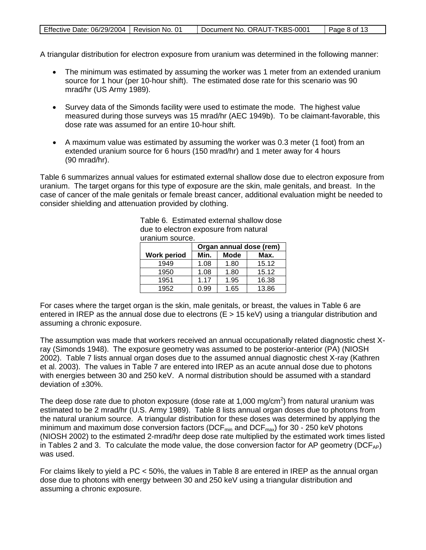| Effective Date: 06/29/2004   Revision No. 01 | Document No. ORAUT-TKBS-0001 | Page 8 of 13 |
|----------------------------------------------|------------------------------|--------------|
|                                              |                              |              |

A triangular distribution for electron exposure from uranium was determined in the following manner:

- The minimum was estimated by assuming the worker was 1 meter from an extended uranium source for 1 hour (per 10-hour shift). The estimated dose rate for this scenario was 90 mrad/hr (US Army 1989).
- Survey data of the Simonds facility were used to estimate the mode. The highest value measured during those surveys was 15 mrad/hr (AEC 1949b). To be claimant-favorable, this dose rate was assumed for an entire 10-hour shift.
- A maximum value was estimated by assuming the worker was 0.3 meter (1 foot) from an extended uranium source for 6 hours (150 mrad/hr) and 1 meter away for 4 hours (90 mrad/hr).

Table 6 summarizes annual values for estimated external shallow dose due to electron exposure from uranium. The target organs for this type of exposure are the skin, male genitals, and breast. In the case of cancer of the male genitals or female breast cancer, additional evaluation might be needed to consider shielding and attenuation provided by clothing.

| ururiium ovurvu.        |             |       |  |  |  |  |  |  |  |  |
|-------------------------|-------------|-------|--|--|--|--|--|--|--|--|
| Organ annual dose (rem) |             |       |  |  |  |  |  |  |  |  |
| Min.                    | <b>Mode</b> | Max.  |  |  |  |  |  |  |  |  |
| 1.08                    | 1.80        | 15.12 |  |  |  |  |  |  |  |  |
| 1.08                    | 1.80        | 15.12 |  |  |  |  |  |  |  |  |
| 1.17                    | 1.95        | 16.38 |  |  |  |  |  |  |  |  |
| 0.99                    | 1.65        | 13.86 |  |  |  |  |  |  |  |  |
|                         |             |       |  |  |  |  |  |  |  |  |

Table 6. Estimated external shallow dose due to electron exposure from natural uranium source.

For cases where the target organ is the skin, male genitals, or breast, the values in Table 6 are entered in IREP as the annual dose due to electrons ( $E > 15$  keV) using a triangular distribution and assuming a chronic exposure.

The assumption was made that workers received an annual occupationally related diagnostic chest Xray (Simonds 1948). The exposure geometry was assumed to be posterior-anterior (PA) (NIOSH 2002). Table 7 lists annual organ doses due to the assumed annual diagnostic chest X-ray (Kathren et al. 2003). The values in Table 7 are entered into IREP as an acute annual dose due to photons with energies between 30 and 250 keV. A normal distribution should be assumed with a standard deviation of ±30%.

The deep dose rate due to photon exposure (dose rate at 1,000 mg/cm<sup>2</sup>) from natural uranium was estimated to be 2 mrad/hr (U.S. Army 1989). Table 8 lists annual organ doses due to photons from the natural uranium source. A triangular distribution for these doses was determined by applying the minimum and maximum dose conversion factors (DCF $_{min}$  and DCF $_{max}$ ) for 30 - 250 keV photons (NIOSH 2002) to the estimated 2-mrad/hr deep dose rate multiplied by the estimated work times listed in Tables 2 and 3. To calculate the mode value, the dose conversion factor for AP geometry (DCF<sub>AP</sub>) was used.

For claims likely to yield a PC < 50%, the values in Table 8 are entered in IREP as the annual organ dose due to photons with energy between 30 and 250 keV using a triangular distribution and assuming a chronic exposure.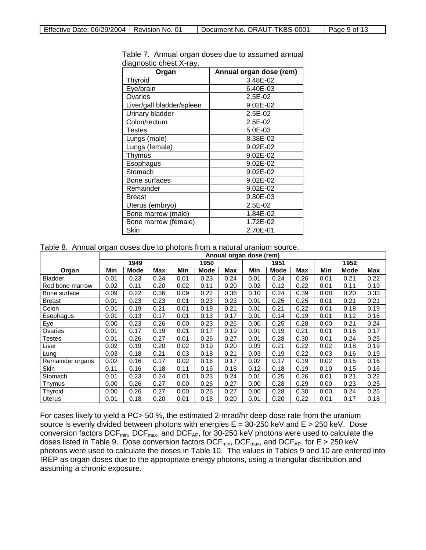| Organ                     | Annual organ dose (rem) |
|---------------------------|-------------------------|
| Thyroid                   | 3.48E-02                |
| Eye/brain                 | 6.40E-03                |
| Ovaries                   | $2.5E-02$               |
| Liver/gall bladder/spleen | 9.02E-02                |
| Urinary bladder           | 2.5E-02                 |
| Colon/rectum              | 2.5E-02                 |
| Testes                    | 5.0E-03                 |
| Lungs (male)              | 8.38E-02                |
| Lungs (female)            | 9.02E-02                |
| Thymus                    | 9.02E-02                |
| Esophagus                 | 9.02E-02                |
| Stomach                   | 9.02E-02                |
| Bone surfaces             | 9.02E-02                |
| Remainder                 | 9.02E-02                |
| <b>Breast</b>             | 9.80E-03                |
| Uterus (embryo)           | 2.5E-02                 |
| Bone marrow (male)        | 1.84E-02                |
| Bone marrow (female)      | 1.72E-02                |
| Skin                      | 2.70E-01                |

Table 7. Annual organ doses due to assumed annual diagnostic chest X-ray.

Table 8. Annual organ doses due to photons from a natural uranium source.

|                  | Annual organ dose (rem) |      |      |            |      |      |      |      |      |      |      |      |
|------------------|-------------------------|------|------|------------|------|------|------|------|------|------|------|------|
|                  |                         | 1949 |      | 1950       |      |      | 1951 |      |      | 1952 |      |      |
| Organ            | Min                     | Mode | Max  | <b>Min</b> | Mode | Max  | Min  | Mode | Max  | Min  | Mode | Max  |
| <b>Bladder</b>   | 0.01                    | 0.23 | 0.24 | 0.01       | 0.23 | 0.24 | 0.01 | 0.24 | 0.26 | 0.01 | 0.21 | 0.22 |
| Red bone marrow  | 0.02                    | 0.11 | 0.20 | 0.02       | 0.11 | 0.20 | 0.02 | 0.12 | 0.22 | 0.01 | 0.11 | 0.19 |
| Bone surface     | 0.09                    | 0.22 | 0.36 | 0.09       | 0.22 | 0.36 | 0.10 | 0.24 | 0.39 | 0.08 | 0.20 | 0.33 |
| <b>Breast</b>    | 0.01                    | 0.23 | 0.23 | 0.01       | 0.23 | 0.23 | 0.01 | 0.25 | 0.25 | 0.01 | 0.21 | 0.21 |
| Colon            | 0.01                    | 0.19 | 0.21 | 0.01       | 0.19 | 0.21 | 0.01 | 0.21 | 0.22 | 0.01 | 0.18 | 0.19 |
| Esophagus        | 0.01                    | 0.13 | 0.17 | 0.01       | 0.13 | 0.17 | 0.01 | 0.14 | 0.19 | 0.01 | 0.12 | 0.16 |
| Eye              | 0.00                    | 0.23 | 0.26 | 0.00       | 0.23 | 0.26 | 0.00 | 0.25 | 0.28 | 0.00 | 0.21 | 0.24 |
| Ovaries          | 0.01                    | 0.17 | 0.19 | 0.01       | 0.17 | 0.19 | 0.01 | 0.19 | 0.21 | 0.01 | 0.16 | 0.17 |
| <b>Testes</b>    | 0.01                    | 0.26 | 0.27 | 0.01       | 0.26 | 0.27 | 0.01 | 0.28 | 0.30 | 0.01 | 0.24 | 0.25 |
| Liver            | 0.02                    | 0.19 | 0.20 | 0.02       | 0.19 | 0.20 | 0.03 | 0.21 | 0.22 | 0.02 | 0.18 | 0.19 |
| Lung             | 0.03                    | 0.18 | 0.21 | 0.03       | 0.18 | 0.21 | 0.03 | 0.19 | 0.22 | 0.03 | 0.16 | 0.19 |
| Remainder organs | 0.02                    | 0.16 | 0.17 | 0.02       | 0.16 | 0.17 | 0.02 | 0.17 | 0.19 | 0.02 | 0.15 | 0.16 |
| Skin             | 0.11                    | 0.16 | 0.18 | 0.11       | 0.16 | 0.18 | 0.12 | 0.18 | 0.19 | 0.10 | 0.15 | 0.16 |
| Stomach          | 0.01                    | 0.23 | 0.24 | 0.01       | 0.23 | 0.24 | 0.01 | 0.25 | 0.26 | 0.01 | 0.21 | 0.22 |
| Thymus           | 0.00                    | 0.26 | 0.27 | 0.00       | 0.26 | 0.27 | 0.00 | 0.28 | 0.29 | 0.00 | 0.23 | 0.25 |
| Thvroid          | 0.00                    | 0.26 | 0.27 | 0.00       | 0.26 | 0.27 | 0.00 | 0.28 | 0.30 | 0.00 | 0.24 | 0.25 |
| Uterus           | 0.01                    | 0.18 | 0.20 | 0.01       | 0.18 | 0.20 | 0.01 | 0.20 | 0.22 | 0.01 | 0.17 | 0.18 |

For cases likely to yield a PC> 50 %, the estimated 2-mrad/hr deep dose rate from the uranium source is evenly divided between photons with energies  $E = 30-250$  keV and  $E > 250$  keV. Dose conversion factors DCF<sub>min</sub>, DCF<sub>max</sub>, and DCF<sub>AP</sub>, for 30-250 keV photons were used to calculate the doses listed in Table 9. Dose conversion factors DCF $_{\sf min}$ , DCF $_{\sf max}$ , and DCF<sub>AP</sub>, for E > 250 keV photons were used to calculate the doses in Table 10. The values in Tables 9 and 10 are entered into IREP as organ doses due to the appropriate energy photons, using a triangular distribution and assuming a chronic exposure.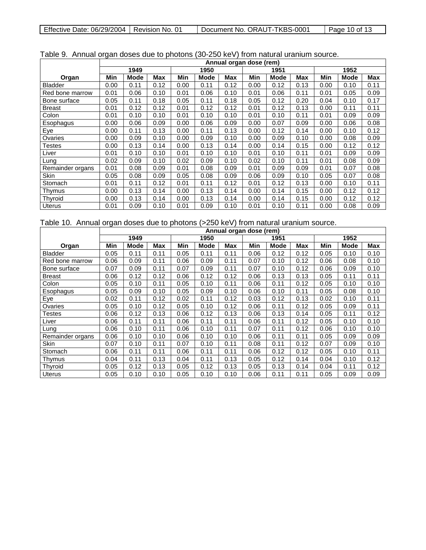| Effective Date: 06/29/2004   Revision No. 01 |  | Document No. ORAUT-TKBS-0001 | Page 10 of 13 |
|----------------------------------------------|--|------------------------------|---------------|
|----------------------------------------------|--|------------------------------|---------------|

 $\Box$ 

|                  |      | Annual organ dose (rem) |      |      |             |            |      |      |            |      |             |      |
|------------------|------|-------------------------|------|------|-------------|------------|------|------|------------|------|-------------|------|
|                  |      | 1949                    |      | 1950 |             |            | 1951 |      |            | 1952 |             |      |
| Organ            | Min  | Mode                    | Max  | Min  | <b>Mode</b> | <b>Max</b> | Min  | Mode | <b>Max</b> | Min  | <b>Mode</b> | Max  |
| <b>Bladder</b>   | 0.00 | 0.11                    | 0.12 | 0.00 | 0.11        | 0.12       | 0.00 | 0.12 | 0.13       | 0.00 | 0.10        | 0.11 |
| Red bone marrow  | 0.01 | 0.06                    | 0.10 | 0.01 | 0.06        | 0.10       | 0.01 | 0.06 | 0.11       | 0.01 | 0.05        | 0.09 |
| Bone surface     | 0.05 | 0.11                    | 0.18 | 0.05 | 0.11        | 0.18       | 0.05 | 0.12 | 0.20       | 0.04 | 0.10        | 0.17 |
| <b>Breast</b>    | 0.01 | 0.12                    | 0.12 | 0.01 | 0.12        | 0.12       | 0.01 | 0.12 | 0.13       | 0.00 | 0.11        | 0.11 |
| Colon            | 0.01 | 0.10                    | 0.10 | 0.01 | 0.10        | 0.10       | 0.01 | 0.10 | 0.11       | 0.01 | 0.09        | 0.09 |
| Esophagus        | 0.00 | 0.06                    | 0.09 | 0.00 | 0.06        | 0.09       | 0.00 | 0.07 | 0.09       | 0.00 | 0.06        | 0.08 |
| Eye              | 0.00 | 0.11                    | 0.13 | 0.00 | 0.11        | 0.13       | 0.00 | 0.12 | 0.14       | 0.00 | 0.10        | 0.12 |
| Ovaries          | 0.00 | 0.09                    | 0.10 | 0.00 | 0.09        | 0.10       | 0.00 | 0.09 | 0.10       | 0.00 | 0.08        | 0.09 |
| <b>Testes</b>    | 0.00 | 0.13                    | 0.14 | 0.00 | 0.13        | 0.14       | 0.00 | 0.14 | 0.15       | 0.00 | 0.12        | 0.12 |
| Liver            | 0.01 | 0.10                    | 0.10 | 0.01 | 0.10        | 0.10       | 0.01 | 0.10 | 0.11       | 0.01 | 0.09        | 0.09 |
| Lung             | 0.02 | 0.09                    | 0.10 | 0.02 | 0.09        | 0.10       | 0.02 | 0.10 | 0.11       | 0.01 | 0.08        | 0.09 |
| Remainder organs | 0.01 | 0.08                    | 0.09 | 0.01 | 0.08        | 0.09       | 0.01 | 0.09 | 0.09       | 0.01 | 0.07        | 0.08 |
| Skin             | 0.05 | 0.08                    | 0.09 | 0.05 | 0.08        | 0.09       | 0.06 | 0.09 | 0.10       | 0.05 | 0.07        | 0.08 |
| Stomach          | 0.01 | 0.11                    | 0.12 | 0.01 | 0.11        | 0.12       | 0.01 | 0.12 | 0.13       | 0.00 | 0.10        | 0.11 |
| Thymus           | 0.00 | 0.13                    | 0.14 | 0.00 | 0.13        | 0.14       | 0.00 | 0.14 | 0.15       | 0.00 | 0.12        | 0.12 |
| Thyroid          | 0.00 | 0.13                    | 0.14 | 0.00 | 0.13        | 0.14       | 0.00 | 0.14 | 0.15       | 0.00 | 0.12        | 0.12 |
| <b>Uterus</b>    | 0.01 | 0.09                    | 0.10 | 0.01 | 0.09        | 0.10       | 0.01 | 0.10 | 0.11       | 0.00 | 0.08        | 0.09 |

## Table 9. Annual organ doses due to photons (30-250 keV) from natural uranium source.

# Table 10. Annual organ doses due to photons (>250 keV) from natural uranium source.

|                  |      | Annual organ dose (rem) |            |      |             |            |      |      |      |      |      |      |  |
|------------------|------|-------------------------|------------|------|-------------|------------|------|------|------|------|------|------|--|
|                  |      | 1949                    |            |      | 1950        |            |      | 1951 |      |      | 1952 |      |  |
| Organ            | Min  | <b>Mode</b>             | <b>Max</b> | Min  | <b>Mode</b> | <b>Max</b> | Min  | Mode | Max  | Min  | Mode | Max  |  |
| <b>Bladder</b>   | 0.05 | 0.11                    | 0.11       | 0.05 | 0.11        | 0.11       | 0.06 | 0.12 | 0.12 | 0.05 | 0.10 | 0.10 |  |
| Red bone marrow  | 0.06 | 0.09                    | 0.11       | 0.06 | 0.09        | 0.11       | 0.07 | 0.10 | 0.12 | 0.06 | 0.08 | 0.10 |  |
| Bone surface     | 0.07 | 0.09                    | 0.11       | 0.07 | 0.09        | 0.11       | 0.07 | 0.10 | 0.12 | 0.06 | 0.09 | 0.10 |  |
| <b>Breast</b>    | 0.06 | 0.12                    | 0.12       | 0.06 | 0.12        | 0.12       | 0.06 | 0.13 | 0.13 | 0.05 | 0.11 | 0.11 |  |
| Colon            | 0.05 | 0.10                    | 0.11       | 0.05 | 0.10        | 0.11       | 0.06 | 0.11 | 0.12 | 0.05 | 0.10 | 0.10 |  |
| Esophagus        | 0.05 | 0.09                    | 0.10       | 0.05 | 0.09        | 0.10       | 0.06 | 0.10 | 0.11 | 0.05 | 0.08 | 0.10 |  |
| Eye              | 0.02 | 0.11                    | 0.12       | 0.02 | 0.11        | 0.12       | 0.03 | 0.12 | 0.13 | 0.02 | 0.10 | 0.11 |  |
| Ovaries          | 0.05 | 0.10                    | 0.12       | 0.05 | 0.10        | 0.12       | 0.06 | 0.11 | 0.12 | 0.05 | 0.09 | 0.11 |  |
| Testes           | 0.06 | 0.12                    | 0.13       | 0.06 | 0.12        | 0.13       | 0.06 | 0.13 | 0.14 | 0.05 | 0.11 | 0.12 |  |
| Liver            | 0.06 | 0.11                    | 0.11       | 0.06 | 0.11        | 0.11       | 0.06 | 0.11 | 0.12 | 0.05 | 0.10 | 0.10 |  |
| Lung             | 0.06 | 0.10                    | 0.11       | 0.06 | 0.10        | 0.11       | 0.07 | 0.11 | 0.12 | 0.06 | 0.10 | 0.10 |  |
| Remainder organs | 0.06 | 0.10                    | 0.10       | 0.06 | 0.10        | 0.10       | 0.06 | 0.11 | 0.11 | 0.05 | 0.09 | 0.09 |  |
| Skin             | 0.07 | 0.10                    | 0.11       | 0.07 | 0.10        | 0.11       | 0.08 | 0.11 | 0.12 | 0.07 | 0.09 | 0.10 |  |
| Stomach          | 0.06 | 0.11                    | 0.11       | 0.06 | 0.11        | 0.11       | 0.06 | 0.12 | 0.12 | 0.05 | 0.10 | 0.11 |  |
| Thymus           | 0.04 | 0.11                    | 0.13       | 0.04 | 0.11        | 0.13       | 0.05 | 0.12 | 0.14 | 0.04 | 0.10 | 0.12 |  |
| Thyroid          | 0.05 | 0.12                    | 0.13       | 0.05 | 0.12        | 0.13       | 0.05 | 0.13 | 0.14 | 0.04 | 0.11 | 0.12 |  |
| Uterus           | 0.05 | 0.10                    | 0.10       | 0.05 | 0.10        | 0.10       | 0.06 | 0.11 | 0.11 | 0.05 | 0.09 | 0.09 |  |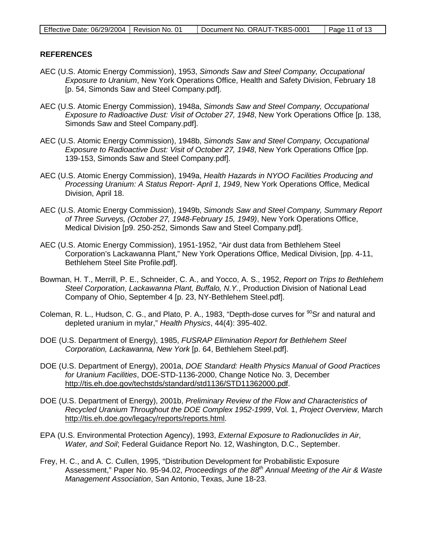#### **REFERENCES**

- AEC (U.S. Atomic Energy Commission), 1953, *Simonds Saw and Steel Company, Occupational Exposure to Uranium*, New York Operations Office, Health and Safety Division, February 18 [p. 54, Simonds Saw and Steel Company.pdf].
- AEC (U.S. Atomic Energy Commission), 1948a, *Simonds Saw and Steel Company, Occupational Exposure to Radioactive Dust: Visit of October 27, 1948*, New York Operations Office [p. 138, Simonds Saw and Steel Company.pdf].
- AEC (U.S. Atomic Energy Commission), 1948b, *Simonds Saw and Steel Company, Occupational Exposure to Radioactive Dust: Visit of October 27, 1948*, New York Operations Office [pp. 139-153, Simonds Saw and Steel Company.pdf].
- AEC (U.S. Atomic Energy Commission), 1949a, *Health Hazards in NYOO Facilities Producing and Processing Uranium: A Status Report- April 1, 1949*, New York Operations Office, Medical Division, April 18.
- AEC (U.S. Atomic Energy Commission), 1949b, *Simonds Saw and Steel Company, Summary Report of Three Surveys, (October 27, 1948-February 15, 1949)*, New York Operations Office, Medical Division [p9. 250-252, Simonds Saw and Steel Company.pdf].
- AEC (U.S. Atomic Energy Commission), 1951-1952, "Air dust data from Bethlehem Steel Corporation's Lackawanna Plant," New York Operations Office, Medical Division, [pp. 4-11, Bethlehem Steel Site Profile.pdf].
- Bowman, H. T., Merrill, P. E., Schneider, C. A., and Yocco, A. S., 1952, *Report on Trips to Bethlehem Steel Corporation, Lackawanna Plant, Buffalo, N.Y.*, Production Division of National Lead Company of Ohio, September 4 [p. 23, NY-Bethlehem Steel.pdf].
- Coleman, R. L., Hudson, C. G., and Plato, P. A., 1983, "Depth-dose curves for <sup>90</sup>Sr and natural and depleted uranium in mylar," *Health Physics*, 44(4): 395-402.
- DOE (U.S. Department of Energy), 1985, *FUSRAP Elimination Report for Bethlehem Steel Corporation, Lackawanna, New York* [p. 64, Bethlehem Steel.pdf].
- DOE (U.S. Department of Energy), 2001a, *DOE Standard: Health Physics Manual of Good Practices for Uranium Facilities*, DOE-STD-1136-2000, Change Notice No. 3, December [http://tis.eh.doe.gov/techstds/standard/std1136/STD11362000.pdf.](http://tis.eh.doe.gov/techstds/standard/std1136/STD11362000.pdf)
- DOE (U.S. Department of Energy), 2001b, *Preliminary Review of the Flow and Characteristics of Recycled Uranium Throughout the DOE Complex 1952-1999*, Vol. 1, *Project Overview*, March [http://tis.eh.doe.gov/legacy/reports/reports.html.](http://tis.eh.doe.gov/legacy/reports/reports.html)
- EPA (U.S. Environmental Protection Agency), 1993, *External Exposure to Radionuclides in Air, Water, and Soil*; Federal Guidance Report No. 12, Washington, D.C., September.
- Frey, H. C., and A. C. Cullen, 1995, "Distribution Development for Probabilistic Exposure Assessment," Paper No. 95-94.02, *Proceedings of the 88th Annual Meeting of the Air & Waste Management Association*, San Antonio, Texas, June 18-23.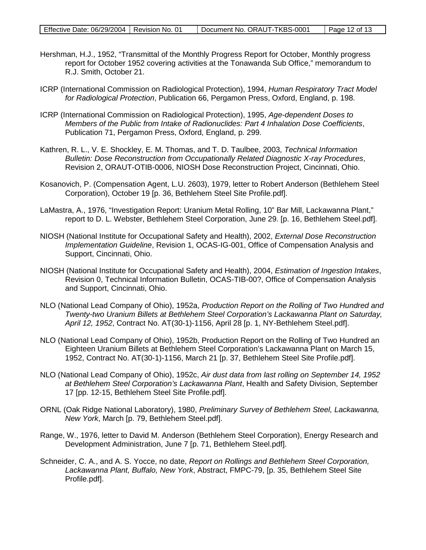- Hershman, H.J., 1952, "Transmittal of the Monthly Progress Report for October, Monthly progress report for October 1952 covering activities at the Tonawanda Sub Office," memorandum to R.J. Smith, October 21.
- ICRP (International Commission on Radiological Protection), 1994, *Human Respiratory Tract Model for Radiological Protection*, Publication 66, Pergamon Press, Oxford, England, p. 198.
- ICRP (International Commission on Radiological Protection), 1995, *Age-dependent Doses to Members of the Public from Intake of Radionuclides: Part 4 Inhalation Dose Coefficients*, Publication 71, Pergamon Press, Oxford, England, p. 299.
- Kathren, R. L., V. E. Shockley, E. M. Thomas, and T. D. Taulbee, 2003, *Technical Information Bulletin: Dose Reconstruction from Occupationally Related Diagnostic X-ray Procedures*, Revision 2, ORAUT-OTIB-0006, NIOSH Dose Reconstruction Project, Cincinnati, Ohio.
- Kosanovich, P. (Compensation Agent, L.U. 2603), 1979, letter to Robert Anderson (Bethlehem Steel Corporation), October 19 [p. 36, Bethlehem Steel Site Profile.pdf].
- LaMastra, A., 1976, "Investigation Report: Uranium Metal Rolling, 10" Bar Mill, Lackawanna Plant," report to D. L. Webster, Bethlehem Steel Corporation, June 29. [p. 16, Bethlehem Steel.pdf].
- NIOSH (National Institute for Occupational Safety and Health), 2002, *External Dose Reconstruction Implementation Guideline*, Revision 1, OCAS-IG-001, Office of Compensation Analysis and Support, Cincinnati, Ohio.
- NIOSH (National Institute for Occupational Safety and Health), 2004, *Estimation of Ingestion Intakes*, Revision 0, Technical Information Bulletin, OCAS-TIB-00?, Office of Compensation Analysis and Support, Cincinnati, Ohio.
- NLO (National Lead Company of Ohio), 1952a, *Production Report on the Rolling of Two Hundred and Twenty-two Uranium Billets at Bethlehem Steel Corporation's Lackawanna Plant on Saturday, April 12, 1952*, Contract No. AT(30-1)-1156, April 28 [p. 1, NY-Bethlehem Steel.pdf].
- NLO (National Lead Company of Ohio), 1952b, Production Report on the Rolling of Two Hundred an Eighteen Uranium Billets at Bethlehem Steel Corporation's Lackawanna Plant on March 15, 1952, Contract No. AT(30-1)-1156, March 21 [p. 37, Bethlehem Steel Site Profile.pdf].
- NLO (National Lead Company of Ohio), 1952c, *Air dust data from last rolling on September 14, 1952 at Bethlehem Steel Corporation's Lackawanna Plant*, Health and Safety Division, September 17 [pp. 12-15, Bethlehem Steel Site Profile.pdf].
- ORNL (Oak Ridge National Laboratory), 1980, *Preliminary Survey of Bethlehem Steel, Lackawanna, New York*, March [p. 79, Bethlehem Steel.pdf].
- Range, W., 1976, letter to David M. Anderson (Bethlehem Steel Corporation), Energy Research and Development Administration, June 7 [p. 71, Bethlehem Steel.pdf].
- Schneider, C. A., and A. S. Yocce, no date, *Report on Rollings and Bethlehem Steel Corporation, Lackawanna Plant, Buffalo, New York*, Abstract, FMPC-79, [p. 35, Bethlehem Steel Site Profile.pdf].